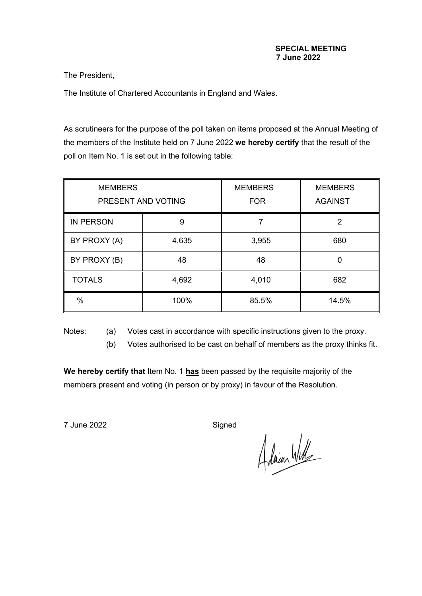The President,

The Institute of Chartered Accountants in England and Wales.

As scrutineers for the purpose of the poll taken on items proposed at the Annual Meeting of the members of the Institute held on 7 June 2022 **we hereby certify** that the result of the poll on Item No. 1 is set out in the following table:

| <b>MEMBERS</b><br>PRESENT AND VOTING |       | <b>MEMBERS</b><br><b>FOR</b> | <b>MEMBERS</b><br><b>AGAINST</b> |
|--------------------------------------|-------|------------------------------|----------------------------------|
| <b>IN PERSON</b>                     | 9     |                              | 2                                |
| BY PROXY (A)                         | 4,635 | 3,955                        | 680                              |
| BY PROXY (B)                         | 48    | 48                           |                                  |
| <b>TOTALS</b>                        | 4,692 | 4,010                        | 682                              |
| $\%$                                 | 100%  | 85.5%                        | 14.5%                            |

Notes: (a) Votes cast in accordance with specific instructions given to the proxy.

(b) Votes authorised to be cast on behalf of members as the proxy thinks fit.

**We hereby certify that** Item No. 1 **has** been passed by the requisite majority of the members present and voting (in person or by proxy) in favour of the Resolution.

Adrian Will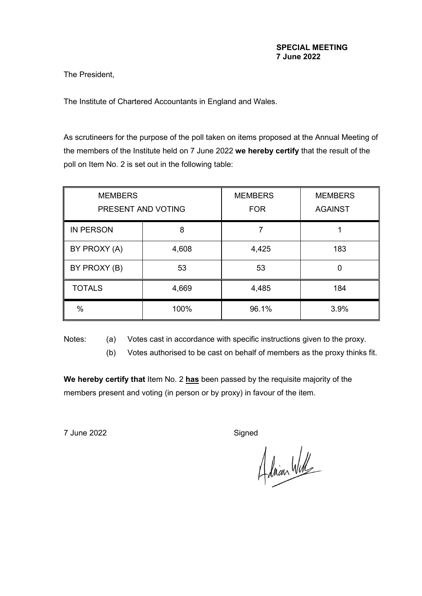The President,

The Institute of Chartered Accountants in England and Wales.

As scrutineers for the purpose of the poll taken on items proposed at the Annual Meeting of the members of the Institute held on 7 June 2022 **we hereby certify** that the result of the poll on Item No. 2 is set out in the following table:

| <b>MEMBERS</b><br>PRESENT AND VOTING |       | <b>MEMBERS</b><br><b>FOR</b> | <b>MEMBERS</b><br><b>AGAINST</b> |
|--------------------------------------|-------|------------------------------|----------------------------------|
| <b>IN PERSON</b>                     | 8     | 7                            |                                  |
| BY PROXY (A)                         | 4,608 | 4,425                        | 183                              |
| BY PROXY (B)                         | 53    | 53                           | 0                                |
| <b>TOTALS</b>                        | 4,669 | 4,485                        | 184                              |
| $\%$                                 | 100%  | 96.1%                        | 3.9%                             |

Notes: (a) Votes cast in accordance with specific instructions given to the proxy.

(b) Votes authorised to be cast on behalf of members as the proxy thinks fit.

**We hereby certify that** Item No. 2 **has** been passed by the requisite majority of the members present and voting (in person or by proxy) in favour of the item.

Adrian Will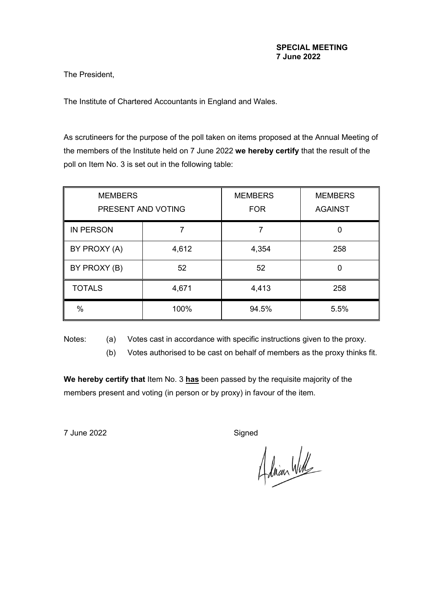The President,

The Institute of Chartered Accountants in England and Wales.

As scrutineers for the purpose of the poll taken on items proposed at the Annual Meeting of the members of the Institute held on 7 June 2022 **we hereby certify** that the result of the poll on Item No. 3 is set out in the following table:

| <b>MEMBERS</b><br>PRESENT AND VOTING |       | <b>MEMBERS</b><br><b>FOR</b> | <b>MEMBERS</b><br><b>AGAINST</b> |
|--------------------------------------|-------|------------------------------|----------------------------------|
| <b>IN PERSON</b>                     |       | 7                            | 0                                |
| BY PROXY (A)                         | 4,612 | 4,354                        | 258                              |
| BY PROXY (B)                         | 52    | 52                           | 0                                |
| <b>TOTALS</b>                        | 4,671 | 4,413                        | 258                              |
| $\%$                                 | 100%  | 94.5%                        | 5.5%                             |

Notes: (a) Votes cast in accordance with specific instructions given to the proxy.

(b) Votes authorised to be cast on behalf of members as the proxy thinks fit.

**We hereby certify that** Item No. 3 **has** been passed by the requisite majority of the members present and voting (in person or by proxy) in favour of the item.

Adrian Will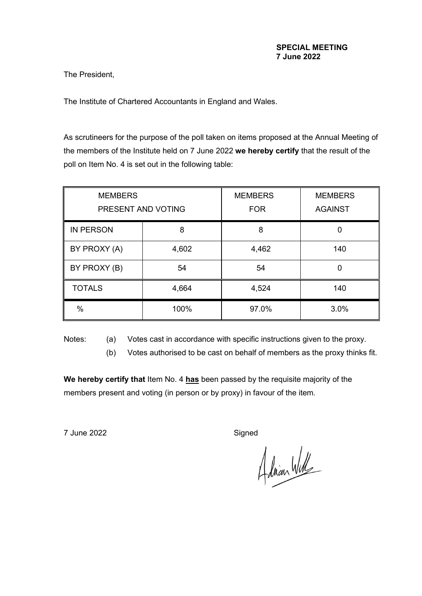The President,

The Institute of Chartered Accountants in England and Wales.

As scrutineers for the purpose of the poll taken on items proposed at the Annual Meeting of the members of the Institute held on 7 June 2022 **we hereby certify** that the result of the poll on Item No. 4 is set out in the following table:

| <b>MEMBERS</b><br>PRESENT AND VOTING |       | <b>MEMBERS</b><br><b>FOR</b> | <b>MEMBERS</b><br><b>AGAINST</b> |
|--------------------------------------|-------|------------------------------|----------------------------------|
| <b>IN PERSON</b>                     | 8     | 8                            | 0                                |
| BY PROXY (A)                         | 4,602 | 4,462                        | 140                              |
| BY PROXY (B)                         | 54    | 54                           | 0                                |
| <b>TOTALS</b>                        | 4,664 | 4,524                        | 140                              |
| $\%$                                 | 100%  | 97.0%                        | 3.0%                             |

Notes: (a) Votes cast in accordance with specific instructions given to the proxy.

(b) Votes authorised to be cast on behalf of members as the proxy thinks fit.

**We hereby certify that** Item No. 4 **has** been passed by the requisite majority of the members present and voting (in person or by proxy) in favour of the item.

Adrian Will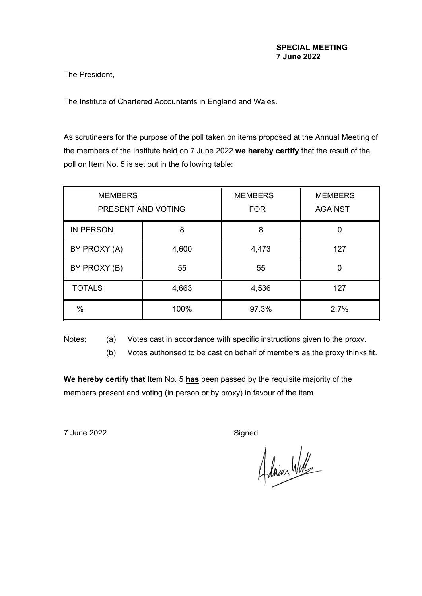The President,

The Institute of Chartered Accountants in England and Wales.

As scrutineers for the purpose of the poll taken on items proposed at the Annual Meeting of the members of the Institute held on 7 June 2022 **we hereby certify** that the result of the poll on Item No. 5 is set out in the following table:

| <b>MEMBERS</b><br>PRESENT AND VOTING |       | <b>MEMBERS</b><br><b>FOR</b> | <b>MEMBERS</b><br><b>AGAINST</b> |
|--------------------------------------|-------|------------------------------|----------------------------------|
| <b>IN PERSON</b>                     | 8     | 8                            | 0                                |
| BY PROXY (A)                         | 4,600 | 4,473                        | 127                              |
| BY PROXY (B)                         | 55    | 55                           | 0                                |
| <b>TOTALS</b>                        | 4,663 | 4,536                        | 127                              |
| $\%$                                 | 100%  | 97.3%                        | 2.7%                             |

Notes: (a) Votes cast in accordance with specific instructions given to the proxy.

(b) Votes authorised to be cast on behalf of members as the proxy thinks fit.

**We hereby certify that** Item No. 5 **has** been passed by the requisite majority of the members present and voting (in person or by proxy) in favour of the item.

Adrian Will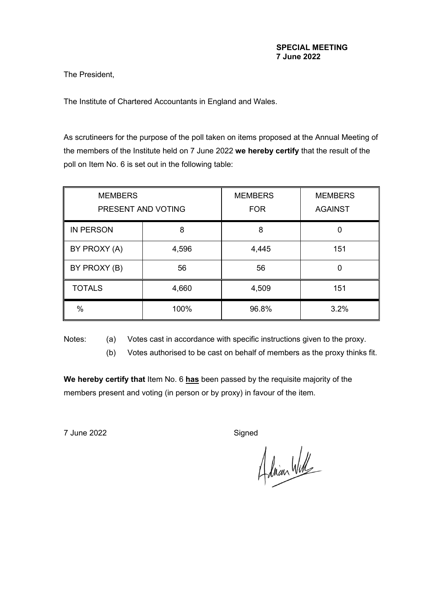The President,

The Institute of Chartered Accountants in England and Wales.

As scrutineers for the purpose of the poll taken on items proposed at the Annual Meeting of the members of the Institute held on 7 June 2022 **we hereby certify** that the result of the poll on Item No. 6 is set out in the following table:

| <b>MEMBERS</b><br>PRESENT AND VOTING |       | <b>MEMBERS</b><br><b>FOR</b> | <b>MEMBERS</b><br><b>AGAINST</b> |
|--------------------------------------|-------|------------------------------|----------------------------------|
| <b>IN PERSON</b>                     | 8     | 8                            | 0                                |
| BY PROXY (A)                         | 4,596 | 4,445                        | 151                              |
| BY PROXY (B)                         | 56    | 56                           | 0                                |
| <b>TOTALS</b>                        | 4,660 | 4,509                        | 151                              |
| $\%$                                 | 100%  | 96.8%                        | 3.2%                             |

Notes: (a) Votes cast in accordance with specific instructions given to the proxy.

(b) Votes authorised to be cast on behalf of members as the proxy thinks fit.

**We hereby certify that** Item No. 6 **has** been passed by the requisite majority of the members present and voting (in person or by proxy) in favour of the item.

Adrian Will